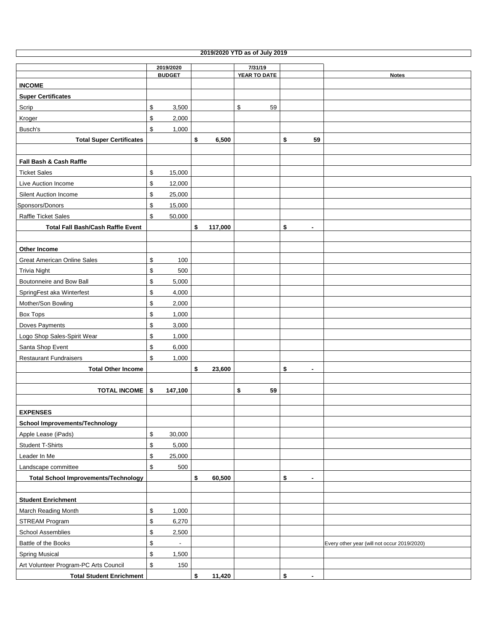| 2019/2020 YTD as of July 2019               |                                |    |         |              |                      |                                             |  |  |  |  |
|---------------------------------------------|--------------------------------|----|---------|--------------|----------------------|---------------------------------------------|--|--|--|--|
|                                             | 2019/2020                      |    |         | 7/31/19      |                      |                                             |  |  |  |  |
|                                             | <b>BUDGET</b>                  |    |         | YEAR TO DATE |                      | <b>Notes</b>                                |  |  |  |  |
| <b>INCOME</b>                               |                                |    |         |              |                      |                                             |  |  |  |  |
| <b>Super Certificates</b>                   |                                |    |         |              |                      |                                             |  |  |  |  |
| Scrip                                       | \$<br>3,500                    |    |         | $\,$<br>59   |                      |                                             |  |  |  |  |
| Kroger                                      | \$<br>2,000                    |    |         |              |                      |                                             |  |  |  |  |
| Busch's                                     | \$<br>1,000                    |    |         |              |                      |                                             |  |  |  |  |
| <b>Total Super Certificates</b>             |                                | \$ | 6,500   |              | \$<br>59             |                                             |  |  |  |  |
|                                             |                                |    |         |              |                      |                                             |  |  |  |  |
| Fall Bash & Cash Raffle                     |                                |    |         |              |                      |                                             |  |  |  |  |
| <b>Ticket Sales</b>                         | \$<br>15,000                   |    |         |              |                      |                                             |  |  |  |  |
| Live Auction Income                         | \$<br>12,000                   |    |         |              |                      |                                             |  |  |  |  |
| Silent Auction Income                       | \$<br>25,000                   |    |         |              |                      |                                             |  |  |  |  |
| Sponsors/Donors                             | \$<br>15,000                   |    |         |              |                      |                                             |  |  |  |  |
| Raffle Ticket Sales                         | \$<br>50,000                   |    |         |              |                      |                                             |  |  |  |  |
| <b>Total Fall Bash/Cash Raffle Event</b>    |                                | \$ | 117,000 |              | \$<br>$\blacksquare$ |                                             |  |  |  |  |
|                                             |                                |    |         |              |                      |                                             |  |  |  |  |
| <b>Other Income</b>                         |                                |    |         |              |                      |                                             |  |  |  |  |
| <b>Great American Online Sales</b>          | \$<br>100                      |    |         |              |                      |                                             |  |  |  |  |
| <b>Trivia Night</b>                         | \$<br>500                      |    |         |              |                      |                                             |  |  |  |  |
| Boutonneire and Bow Ball                    | \$<br>5,000                    |    |         |              |                      |                                             |  |  |  |  |
| SpringFest aka Winterfest                   | \$<br>4,000                    |    |         |              |                      |                                             |  |  |  |  |
| Mother/Son Bowling                          | \$<br>2,000                    |    |         |              |                      |                                             |  |  |  |  |
| <b>Box Tops</b>                             | \$<br>1,000                    |    |         |              |                      |                                             |  |  |  |  |
| Doves Payments                              | \$<br>3,000                    |    |         |              |                      |                                             |  |  |  |  |
| Logo Shop Sales-Spirit Wear                 | \$<br>1,000                    |    |         |              |                      |                                             |  |  |  |  |
| Santa Shop Event                            | \$<br>6,000                    |    |         |              |                      |                                             |  |  |  |  |
| <b>Restaurant Fundraisers</b>               | \$<br>1,000                    |    |         |              |                      |                                             |  |  |  |  |
| <b>Total Other Income</b>                   |                                | \$ | 23,600  |              | \$<br>$\blacksquare$ |                                             |  |  |  |  |
|                                             |                                |    |         |              |                      |                                             |  |  |  |  |
| <b>TOTAL INCOME</b>                         | \$<br>147,100                  |    |         | \$<br>59     |                      |                                             |  |  |  |  |
|                                             |                                |    |         |              |                      |                                             |  |  |  |  |
| <b>EXPENSES</b>                             |                                |    |         |              |                      |                                             |  |  |  |  |
| <b>School Improvements/Technology</b>       |                                |    |         |              |                      |                                             |  |  |  |  |
| Apple Lease (iPads)                         | \$<br>30,000                   |    |         |              |                      |                                             |  |  |  |  |
| <b>Student T-Shirts</b>                     | \$<br>5,000                    |    |         |              |                      |                                             |  |  |  |  |
| Leader In Me                                | \$<br>25,000                   |    |         |              |                      |                                             |  |  |  |  |
| Landscape committee                         | \$<br>500                      |    |         |              |                      |                                             |  |  |  |  |
| <b>Total School Improvements/Technology</b> |                                | \$ | 60,500  |              | \$<br>$\blacksquare$ |                                             |  |  |  |  |
|                                             |                                |    |         |              |                      |                                             |  |  |  |  |
| <b>Student Enrichment</b>                   |                                |    |         |              |                      |                                             |  |  |  |  |
| March Reading Month                         | \$<br>1,000                    |    |         |              |                      |                                             |  |  |  |  |
| STREAM Program                              | \$<br>6,270                    |    |         |              |                      |                                             |  |  |  |  |
| School Assemblies                           | \$<br>2,500                    |    |         |              |                      |                                             |  |  |  |  |
| Battle of the Books                         | \$<br>$\overline{\phantom{a}}$ |    |         |              |                      | Every other year (will not occur 2019/2020) |  |  |  |  |
| <b>Spring Musical</b>                       | \$<br>1,500                    |    |         |              |                      |                                             |  |  |  |  |
| Art Volunteer Program-PC Arts Council       | \$<br>150                      |    |         |              |                      |                                             |  |  |  |  |
| <b>Total Student Enrichment</b>             |                                | \$ | 11,420  |              | \$<br>$\blacksquare$ |                                             |  |  |  |  |